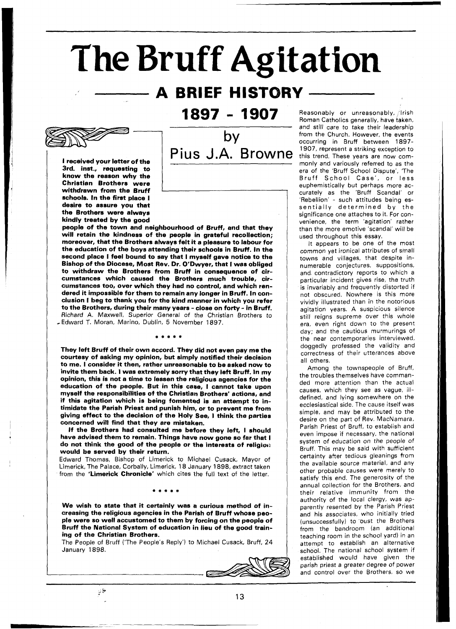# **The Bruff Agitation**

## **A BRIEF HISTORY**

1897 - 1907

I received your letter of the 3rd. inst., requesting to know the reason why the Christian Brothers were withdrawn from the Bruff schools. In the first place I desire to assure you that the Brothers were alwavs kindly treated by the



people of the town and neighbourhood of Bruff, and that they will retain the kindness of the people in grateful recollection; moreover, that the Brothers always felt it a pleasure to labour for the education of the boys attending their schools in Bruff. In the the education of the boys attending their schools in Bruff. In the<br>second place I feel bound to say that I myself gave notice to the second place I feel bound to say that I myself gave notice to the<br>Bishop of the Diocese, Most Rev. Dr. O′Dwyer, that I was obliged to withdraw the Brothers from Bruff in consequence of circumstances which caused the Brothers much trouble, circumstances too, over which they had no control, and which rendered it impossible for them to remain any longer in Bruff. In conclusion I beg to thank you for the kind manner in which you refer to the Brothers, during their many years -close on forty - in Bruff. , Edward T. Moran, Marino, Dublin, 5 November 1897. Richard A. Maxwell, Superior General of the Christian Brothers to

They left Bruff of their own accord. They did not even pay me the courtesy of asking my opinion, but simply notified their decision to me. I consider it then, rather unreasonable to be asked now to invite them back. I was extremely sorry that they left Bruff. In my opinion. this is not a time to lessen the religious agencies for the education of the people. But in this case, I cannot take upon myself the responsibilities of the Christian Brothers' actions, and if this agitation which is being fomented is an attempt to intimidate the Parish Priest and punish him, or to prevent me from giving effect to the decision of the Holy See, I think the parties concerned will find that they are mistaken.

If the Brothers had consulted me before they left, **I** should have advised them to remain. Things have now gone so far that I do not think the good of the people or the interests of religion would be served by their return.

Edward Thomas, Bishop of Limerick to Michael Cusack, Mayor of Limerick, The Palace, Corbally, Limerick, 18 January 1898, extract taken from the 'Limerick Chronicle' which cites the full text of the letter.

We wish to state that it certainly was a curious method of increasing the religious agencies in the Parish of Bruff whose people were so well accustomed to them by forcing on the people of Bruff the National System of education in lieu of the good training of the Christian Brothers.

The People of Bruff ('The People's Reply') to Michael Cusack, Bruff, 24 January 1898.



Reasonably or unreasonably, lrish Roman Catholics generally, have taken, and still care to take their leadership from the Church. However, the events occurring in Bruff between 1897- 1907, represent a striking exception to this trend. These years are now commonly and variously referred to as the era of the 'Bruff School Dispute', The Bruff School Case', or less euphemistically but perhaps more accurately as the 'Bruff Scandal' or 'Rebellion' - such attitudes being essentially determined by the significance one attaches to it. For convenience, the term 'agitation' rather than the more emotive 'scandal' will be used throughout this essay.

It appears to be one of the most common yet ironical attributes of small towns and villages, that despite innumerable conjectures, suppositions, and contradictory reports to which a particular incident gives rise, the truth is invariably and frequently distorted if not obscured. Nowhere is this more vividly illustrated than in the notorious agitation years. A suspicious silence still reigns supreme over this whole era, even right down to the present day; and the cautious murmurings of the near contemporaries interviewed, doggedly professed the validity and correctness of their utterances above all others.

Among the townspeople of Bruff, the troubles themselves have commanded more attention than the actual causes, which they see as vague, illdefined, and lying somewhere on the ecclesiastical side. The cause itself was simple, and may be attributed to the desire on the part of Rev. MacNamara. Parish Priest of Bruff, to establish and even impose if necessary, the national system of education on the people of Bruff. This may be said with sufficient certainty after tedious gleanings from the available source material, and any other probable causes were merely to satisfy this end. The generosity of the annual collection for the Brothers, and their relative immunity from the authority of the local clergy, was apparently resented by the Parish Priest and his associates, who initially tried (unsuccessfully) to oust the Brothers from the bandroom (an additional teaching room in the school yard) in an attempt to establish an alternative school. The national school system if established would have given the parish priest a greater degree of power and control over the Brothers, so we

فاليز

 $13$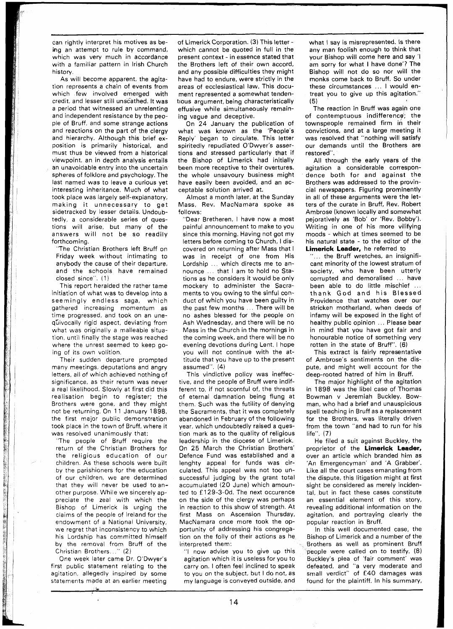can rightly interpret his motives as being an attempt to rule by command, which was very much in accordance with a familiar pattern in Irish Church history.

As will become apparent, the agitation represents a chain of events from which few involved emerged with credit, and lesser still unscathed. It was a period that witnessed an unrelenting and independent resistance by the people of Bruff, and some strange actions and reactions on the part of the clergy and hierarchy. Although this brief exposition is primarily historical, and must thus be viewed from a historical viewpoint, an in depth analysis entails an unavoidable entry into the uncertain spheres of folklore and psychology. The last named was to leave a curious yet interesting inheritance. Much of what took place was largely self-explanatory, making it unnecessary to get sidetracked by lesser details. Undoubtedly, a considerable series of questions will arise, but many of the answers will not be so readily forthcoming.

"The Christian Brothers left Bruff on Friday week without intimating to anybody the cause of their departure, and the schools have remained closed since". (1 )

This report heralded the rather tame initiation of what was to develop into a seemingly endless saga, which gathered increasing momentum as time progressed, and took on an unequivocally rigid aspect, deviating from what was originally a malleable situation, until finally the stage was reached where the unrest seemed to keep going of its own volition.

Their sudden departure prompted many meetings, deputations and angry letters, all of which achieved nothing of significance, as their return was never a real likelihood. Slowly at first did this realisation begin to register; the Brothers were gone, and they might not be returning. On 11 January 1898, the first major public demonstration took place in the town of Bruff, where it was resolved unanimously that:

2000年10月

CONSIDERS

**SWARPS** 実施の (の)

"不是" THE STATES!

"The people of Bruff require the return of the Christian Brothers for the religious education of our children. As these schools were built by the parishioners for the education of our children, we are determined that they will never be used to another purpose. While we sincerely appreciate the zeal with which the Bishop of Limerick is urging the claims of the people of Ireland for the endowment of a National University, we regret that inconsistency to which his Lordship has committed himself by the removal from Bruff of the Christian Brothers.. ." (2)

One week later came Dr. O'Dwyer's first public statement relating to the agitation, allegedly inspired by some statements made at an earlier meeting

of Limerick Corporation. (3) This letter which cannot be quoted in full in the present context - in essence stated that the Brothers left of their own accord, and any possible difficulties they might have had to endure, were strictly in the areas of ecclesiastical law. This document represented a somewhat tendentious argument, being characteristically effusive while simultaneously remaining vague and deceptive.

On 24 January the publication of what was known as the 'People's Reply' began to circulate. This letter spiritedly repudiated O'Dwyer's assertions and stressed particularly that if the Bishop of Limerick had initially been more receptive to their overtures, the whole unsavoury business might have easily been avoided, and an acceptable solution arrived at.

Almost a month later, at the Sunday Mass, Rev. MacNamara spoke as follows:

"Dear Bretheren, I have now a most painful announcement to make to you since this morning. Having not got my letters before coming to Church, I discovered on returning after Mass that I was in receipt of one from His Lordship ... which directs me to announce . . . that I am to hold no Stations as he considers it would be only mockery to administer the Sacraments to you owing to the sinful conduct of which you have been guilty in the past few months ... There will be no ashes blessed for the people on Ash Wednesday, and there will be no Mass in the Church in the mornings in the coming week, and there will be no evening devotions during Lent. I hope you will not continue with the attitude that you have up to the present assumed". (4)

This vindictive policy was ineffective, and the people of Bruff were indifferent to, if not scornful of, the threats of eternal damnation being flung at them. Such was the futility of denying the Sacraments, that it was completely abandoned in February of the following year, which undoubtedly raised a question mark as to the quality of religious leadership in the diocese of Limerick. On 25 March the Christian Brothers' Defence Fund was established and a lenghty appeal for funds was circulated. This appeal was not too unsuccessful judging by the grant total accumulated (20 June) which amounted to E 129-3-0d. The next occurence on the side of the clergy was perhaps in reaction to this show of strength. At first Mass on Ascension Thursday, MacNamara once more took the opportunity of addressing his congregation on the folly of their actions as he interpreted them:

"I now advise you to give up this agitation which it is useless for you to carry on. I often feel inclined to speak to you on the subject, but I do not, as my language is conveyed outside, and

what I say is misrepresented. Is there any man foolish enough to think that your Bishop will come here and say 'I am sorry for what I have done'? The Bishop will not do so nor will the monks come back to Bruff. So under these circumstances ... I would entreat you to give up this agitation." (5)

The reaction in Bruff was again one of contemptuous indifference; the townspeople remained firm in their convictions, and at a large meeting it was resolved that "nothing will satisfy our demands until the Brothers are restored".

All through the early years of the agitation a considerable correspondence both for and against the Brothers was addressed to the provincial newspapers. Figuring prominently in all of these arguments were the letters of the curate in Bruff, Rev. Robert Ambrose (known locally and somewhat pejoratively as 'Bob' or 'Rev. Bobby'). Writing in one of his more vilifying moods - which at times seemed to be his natural state - to the editor of the **Limerick Leader,** he referred to

"... the Bruff wretches, an insignificant minority of the lowest stratum of society, who have been utterly corrupted and demoralised ... have been able to do little mischief ... thank God and his Blessed Providence that watches over our stricken motherland, when deeds of infamy will be exposed in the light of healthy public opinion ... Please bear in mind that you have got fair and honourable notice of something very rotten in the state of Bruff". (6)

This extract is fairly representative of Ambrose's sentiments on the dispute, and might well account for the deep-rooted hatred of him in Bruff.

The major highlight of the agitation in 1898 was the libel case of Thomas Bowman v Jeremiah Buckley. Bowman, who had a brief and unauspicious spell teaching in Bruff as a replacement for the Brothers, was literally driven from the town "and had to run for his life". **(7)** 

He filed a suit against Buckley, the proprietor of the **Limerick Leader,**  over an article which branded him as 'An Emergencyman' and 'A Grabber'. Like all the court cases emanating from the dispute, this litigation might at first sight be considered as merely incidental, but in fact these cases constitute an essential element of this story, revealing additional information on the agitation, and portraying clearly the popular reaction in Bruff.

In this well documented case, the Bishop of Limerick and a number of the Brothers as well as prominent Bruff people were called on to testify. (8) Buckley's plea of 'fair comment' was defeated, and "a very moderate and small verdict" of £40 damages was found for the plaintiff. In his summary,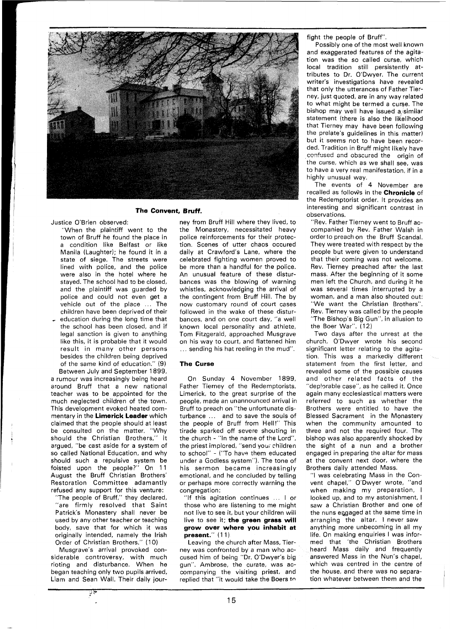

#### **The Convent, Bruff.**

Justice O'Brien observed:

"When the plaintiff went to the town of Bruff he found the place in a condition like Belfast or like Manila (Laughter); he found it in a state of siege. The streets were lined with police, and the police were also in the hotel where he stayed. The school had to be closed, and the plaintiff was guarded by police and could not even get a vehicle out of the place ... The children have been deprived of their education during the long time that the school has been closed, and if legal sanction is given to anything like this, it is probable that it would result in many other persons besides the children being deprived of the same kind of education." (9)

Between July and September 1899, a rumour was increasingly being heard around Bruff that a new national teacher was to be appointed for the much neglected children of the town. This development evoked heated commentary in the **Limerick Leader** which claimed that the people should at least be consulted on the matter. "Why should the Christian Brothers," it argued, "be cast aside for a system of so called National Education, and why should such a repulsive system be foisted upon the people?" On 11 August the Bruff Christian Brothers' Restoration Committee adamantly refused any support for this venture:

"The people of Bruff," they declared, "are firmly resolved that Saint Patrick's Monastery shall never be used by any other teacher or teaching body, save that for which it was originally intended, namely the Irish Order of Christian Brothers." (10)

Musgrave's arrival provoked considerable controversy, with much rioting and disturbance. When he began teaching only two pupils arrived, Liam and Sean Wall. Their daily jour-

ा ह

ney from Bruff Hill where they lived, to the Monastery, necessitated heavy police reinforcements for their protection. Scenes of utter chaos occured daily at Crawford's Lane, where the celebrated fighting women proved to be more than a handful for the police. An unusual feature of these disturbances was the blowing of warning whistles, acknowledging the arrival of the contingent from Bruff Hill. The by now customary round of court cases followed in the wake of these disturbances, and on one court day, "a well known local personality and athlete, Tom Fitzgerald, approached Musgrave on his way to court, and flattened him ... sending his hat reeling in the mud".

#### **The Curse**

On Sunday 4 November 1899, Father Tierney of the Redemptorists, Limerick, to the great surprise of the people, made an unannounced arrival in Bruff to preach on "the unfortunate disturbance ... and to save the souls of the people of Bruff from Hell!" This tirade sparked off severe shouting in the church - "In the name of the Lord", the priest implored, "send your children to school" - ("To have them educated under a Godless system"). The tone of his sermon became increasingly emotional, and he concluded by telling or perhaps more correctly warning the congregation:

"If this agitation continues .. . I or those who are listening to me might not live to see it, but your children will live to see it; **the green grass will grow over where you inhabit at present."** ( 1 **1** )

Leaving the church after Mass, Tierney was confronted by a man who accused him of being "Dr. O'Dwyer's big gun". Ambrose, the curate, was accompanying the visiting priest, and replied that "it would take the Boers **tn** 

fight the people of Bruff".

Possibly one of the most well known and exaggerated features of the agitation was the so called curse, which local tradition still persistently attributes to Dr. O'Dwyer. The current writer's investigations have revealed that only the utterances of Father Tierney, just quoted, are in any way rglated to what might be termed a curse. The bishop may well have issued a/similar statement (there is also the likelihood that Tierney may have been following the prelate's guidelines in this matter) but it seems not to have been recorded. Tradition in Bruff might likely have confused and obscured the origin of the curse, which as we shall see, was to have a very real manifestation, if in a highly unusual way.

The events of 4 November are recalled as follows in the **Chronicle** of the Redemptorist order. It provides an interesting and significant contrast in observations.

"Rev. Father Tierney went to Bruff accompanied by Rev. Father Walsh in orderto preach on the Bruff Scandal. They were treated with respect by the people but were given to understand that their coming was not welcome. Rev. Tierney preached after the last mass. After the beginning of it some men left the Church, and during it he was several times interrupted by a woman, and a man also shouted out: "We want the Christian Brothers". Rev. Tierney was called by the people "The Bishop's Big Gun", in allusion to the Boer War". (12)

Two days after the unrest at the church, O'Dwyer wrote his second significant letter relating to the agitation. This was a markedly different statement from the first letter, and revealed some of the possible causes and other related facts of the "dep!orable case", as he called it. Once again many ecclesiastical matters were referred to such as whether the Brothers were entitled to have the Blessed Sacrament in the Monastery when the community amounted to three and not the required four. The bishop was also apparently shocked by the sight of a nun and a brother engaged in preparing the altar for mass at the convent next door, where the Brothers daily attended Mass.

"I was celebrating Mass in the Convent chapel," O'Dwyer wrote, "and when making my preparation, l looked up, and to my astonishment, I saw a Christian Brother and one of the nuns eggaged at the same time in arranging the altar. l never saw anything more unbecoming in all my life. On making enquiries I was informed that 'the Christian Brothers heard Mass daily and frequently answered Mass in the Nun's chapel, which was centred in the centre of the house, and there was no separation whatever between them and the